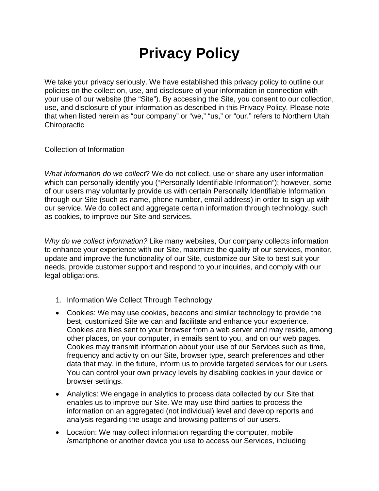## **Privacy Policy**

We take your privacy seriously. We have established this privacy policy to outline our policies on the collection, use, and disclosure of your information in connection with your use of our website (the "Site"). By accessing the Site, you consent to our collection, use, and disclosure of your information as described in this Privacy Policy. Please note that when listed herein as "our company" or "we," "us," or "our." refers to Northern Utah **Chiropractic** 

Collection of Information

*What information do we collect*? We do not collect, use or share any user information which can personally identify you ("Personally Identifiable Information"); however, some of our users may voluntarily provide us with certain Personally Identifiable Information through our Site (such as name, phone number, email address) in order to sign up with our service. We do collect and aggregate certain information through technology, such as cookies, to improve our Site and services.

*Why do we collect information?* Like many websites, Our company collects information to enhance your experience with our Site, maximize the quality of our services, monitor, update and improve the functionality of our Site, customize our Site to best suit your needs, provide customer support and respond to your inquiries, and comply with our legal obligations.

- 1. Information We Collect Through Technology
- Cookies: We may use cookies, beacons and similar technology to provide the best, customized Site we can and facilitate and enhance your experience. Cookies are files sent to your browser from a web server and may reside, among other places, on your computer, in emails sent to you, and on our web pages. Cookies may transmit information about your use of our Services such as time, frequency and activity on our Site, browser type, search preferences and other data that may, in the future, inform us to provide targeted services for our users. You can control your own privacy levels by disabling cookies in your device or browser settings.
- Analytics: We engage in analytics to process data collected by our Site that enables us to improve our Site. We may use third parties to process the information on an aggregated (not individual) level and develop reports and analysis regarding the usage and browsing patterns of our users.
- Location: We may collect information regarding the computer, mobile /smartphone or another device you use to access our Services, including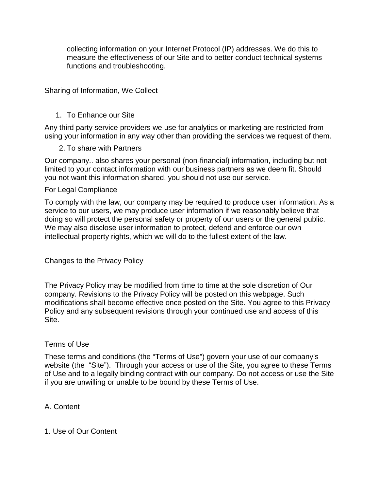collecting information on your Internet Protocol (IP) addresses. We do this to measure the effectiveness of our Site and to better conduct technical systems functions and troubleshooting.

Sharing of Information, We Collect

#### 1. To Enhance our Site

Any third party service providers we use for analytics or marketing are restricted from using your information in any way other than providing the services we request of them.

#### 2. To share with Partners

Our company.. also shares your personal (non-financial) information, including but not limited to your contact information with our business partners as we deem fit. Should you not want this information shared, you should not use our service.

#### For Legal Compliance

To comply with the law, our company may be required to produce user information. As a service to our users, we may produce user information if we reasonably believe that doing so will protect the personal safety or property of our users or the general public. We may also disclose user information to protect, defend and enforce our own intellectual property rights, which we will do to the fullest extent of the law.

Changes to the Privacy Policy

The Privacy Policy may be modified from time to time at the sole discretion of Our company. Revisions to the Privacy Policy will be posted on this webpage. Such modifications shall become effective once posted on the Site. You agree to this Privacy Policy and any subsequent revisions through your continued use and access of this Site.

#### Terms of Use

These terms and conditions (the "Terms of Use") govern your use of our company's website (the "Site"). Through your access or use of the Site, you agree to these Terms of Use and to a legally binding contract with our company. Do not access or use the Site if you are unwilling or unable to be bound by these Terms of Use.

A. Content

#### 1. Use of Our Content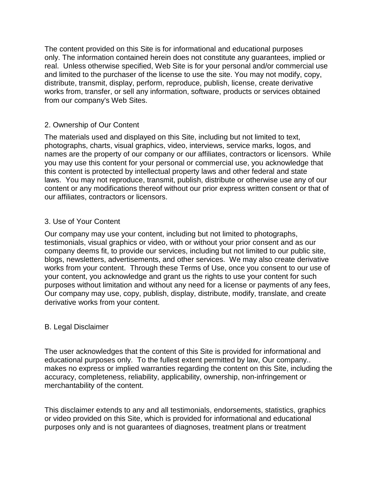The content provided on this Site is for informational and educational purposes only. The information contained herein does not constitute any guarantees, implied or real. Unless otherwise specified, Web Site is for your personal and/or commercial use and limited to the purchaser of the license to use the site. You may not modify, copy, distribute, transmit, display, perform, reproduce, publish, license, create derivative works from, transfer, or sell any information, software, products or services obtained from our company's Web Sites.

#### 2. Ownership of Our Content

The materials used and displayed on this Site, including but not limited to text, photographs, charts, visual graphics, video, interviews, service marks, logos, and names are the property of our company or our affiliates, contractors or licensors. While you may use this content for your personal or commercial use, you acknowledge that this content is protected by intellectual property laws and other federal and state laws. You may not reproduce, transmit, publish, distribute or otherwise use any of our content or any modifications thereof without our prior express written consent or that of our affiliates, contractors or licensors.

#### 3. Use of Your Content

Our company may use your content, including but not limited to photographs, testimonials, visual graphics or video, with or without your prior consent and as our company deems fit, to provide our services, including but not limited to our public site, blogs, newsletters, advertisements, and other services. We may also create derivative works from your content. Through these Terms of Use, once you consent to our use of your content, you acknowledge and grant us the rights to use your content for such purposes without limitation and without any need for a license or payments of any fees, Our company may use, copy, publish, display, distribute, modify, translate, and create derivative works from your content.

#### B. Legal Disclaimer

The user acknowledges that the content of this Site is provided for informational and educational purposes only. To the fullest extent permitted by law, Our company.. makes no express or implied warranties regarding the content on this Site, including the accuracy, completeness, reliability, applicability, ownership, non-infringement or merchantability of the content.

This disclaimer extends to any and all testimonials, endorsements, statistics, graphics or video provided on this Site, which is provided for informational and educational purposes only and is not guarantees of diagnoses, treatment plans or treatment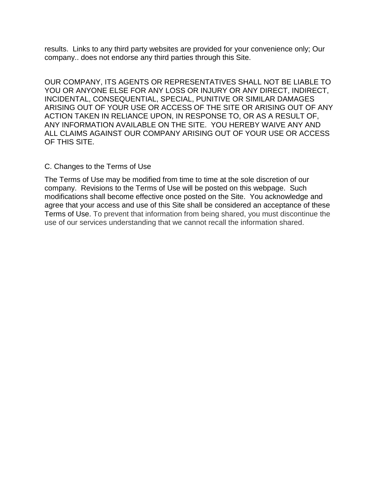results. Links to any third party websites are provided for your convenience only; Our company.. does not endorse any third parties through this Site.

OUR COMPANY, ITS AGENTS OR REPRESENTATIVES SHALL NOT BE LIABLE TO YOU OR ANYONE ELSE FOR ANY LOSS OR INJURY OR ANY DIRECT, INDIRECT, INCIDENTAL, CONSEQUENTIAL, SPECIAL, PUNITIVE OR SIMILAR DAMAGES ARISING OUT OF YOUR USE OR ACCESS OF THE SITE OR ARISING OUT OF ANY ACTION TAKEN IN RELIANCE UPON, IN RESPONSE TO, OR AS A RESULT OF, ANY INFORMATION AVAILABLE ON THE SITE. YOU HEREBY WAIVE ANY AND ALL CLAIMS AGAINST OUR COMPANY ARISING OUT OF YOUR USE OR ACCESS OF THIS SITE.

#### C. Changes to the Terms of Use

The Terms of Use may be modified from time to time at the sole discretion of our company. Revisions to the Terms of Use will be posted on this webpage. Such modifications shall become effective once posted on the Site. You acknowledge and agree that your access and use of this Site shall be considered an acceptance of these Terms of Use. To prevent that information from being shared, you must discontinue the use of our services understanding that we cannot recall the information shared.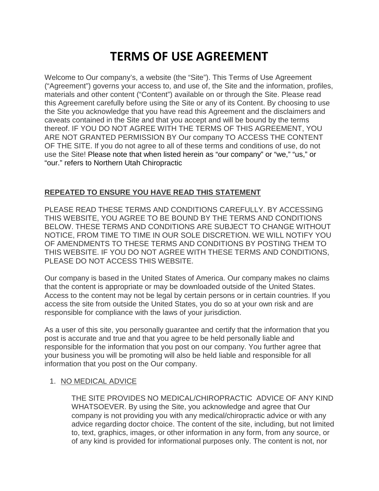## **TERMS OF USE AGREEMENT**

Welcome to Our company's, a website (the "Site"). This Terms of Use Agreement ("Agreement") governs your access to, and use of, the Site and the information, profiles, materials and other content ("Content") available on or through the Site. Please read this Agreement carefully before using the Site or any of its Content. By choosing to use the Site you acknowledge that you have read this Agreement and the disclaimers and caveats contained in the Site and that you accept and will be bound by the terms thereof. IF YOU DO NOT AGREE WITH THE TERMS OF THIS AGREEMENT, YOU ARE NOT GRANTED PERMISSION BY Our company TO ACCESS THE CONTENT OF THE SITE. If you do not agree to all of these terms and conditions of use, do not use the Site! Please note that when listed herein as "our company" or "we," "us," or "our." refers to Northern Utah Chiropractic

#### **REPEATED TO ENSURE YOU HAVE READ THIS STATEMENT**

PLEASE READ THESE TERMS AND CONDITIONS CAREFULLY. BY ACCESSING THIS WEBSITE, YOU AGREE TO BE BOUND BY THE TERMS AND CONDITIONS BELOW. THESE TERMS AND CONDITIONS ARE SUBJECT TO CHANGE WITHOUT NOTICE, FROM TIME TO TIME IN OUR SOLE DISCRETION. WE WILL NOTIFY YOU OF AMENDMENTS TO THESE TERMS AND CONDITIONS BY POSTING THEM TO THIS WEBSITE. IF YOU DO NOT AGREE WITH THESE TERMS AND CONDITIONS, PLEASE DO NOT ACCESS THIS WEBSITE.

Our company is based in the United States of America. Our company makes no claims that the content is appropriate or may be downloaded outside of the United States. Access to the content may not be legal by certain persons or in certain countries. If you access the site from outside the United States, you do so at your own risk and are responsible for compliance with the laws of your jurisdiction.

As a user of this site, you personally guarantee and certify that the information that you post is accurate and true and that you agree to be held personally liable and responsible for the information that you post on our company. You further agree that your business you will be promoting will also be held liable and responsible for all information that you post on the Our company.

#### 1. NO MEDICAL ADVICE

THE SITE PROVIDES NO MEDICAL/CHIROPRACTIC ADVICE OF ANY KIND WHATSOEVER. By using the Site, you acknowledge and agree that Our company is not providing you with any medical/chiropractic advice or with any advice regarding doctor choice. The content of the site, including, but not limited to, text, graphics, images, or other information in any form, from any source, or of any kind is provided for informational purposes only. The content is not, nor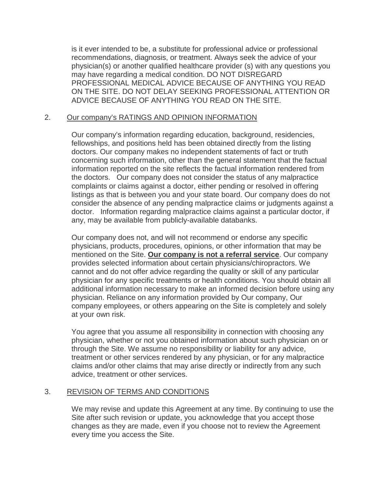is it ever intended to be, a substitute for professional advice or professional recommendations, diagnosis, or treatment. Always seek the advice of your physician(s) or another qualified healthcare provider (s) with any questions you may have regarding a medical condition. DO NOT DISREGARD PROFESSIONAL MEDICAL ADVICE BECAUSE OF ANYTHING YOU READ ON THE SITE. DO NOT DELAY SEEKING PROFESSIONAL ATTENTION OR ADVICE BECAUSE OF ANYTHING YOU READ ON THE SITE.

#### 2. Our company's RATINGS AND OPINION INFORMATION

Our company's information regarding education, background, residencies, fellowships, and positions held has been obtained directly from the listing doctors. Our company makes no independent statements of fact or truth concerning such information, other than the general statement that the factual information reported on the site reflects the factual information rendered from the doctors. Our company does not consider the status of any malpractice complaints or claims against a doctor, either pending or resolved in offering listings as that is between you and your state board. Our company does do not consider the absence of any pending malpractice claims or judgments against a doctor. Information regarding malpractice claims against a particular doctor, if any, may be available from publicly-available databanks.

Our company does not, and will not recommend or endorse any specific physicians, products, procedures, opinions, or other information that may be mentioned on the Site. **Our company is not a referral service**. Our company provides selected information about certain physicians/chiropractors. We cannot and do not offer advice regarding the quality or skill of any particular physician for any specific treatments or health conditions. You should obtain all additional information necessary to make an informed decision before using any physician. Reliance on any information provided by Our company, Our company employees, or others appearing on the Site is completely and solely at your own risk.

You agree that you assume all responsibility in connection with choosing any physician, whether or not you obtained information about such physician on or through the Site. We assume no responsibility or liability for any advice, treatment or other services rendered by any physician, or for any malpractice claims and/or other claims that may arise directly or indirectly from any such advice, treatment or other services.

#### 3. REVISION OF TERMS AND CONDITIONS

We may revise and update this Agreement at any time. By continuing to use the Site after such revision or update, you acknowledge that you accept those changes as they are made, even if you choose not to review the Agreement every time you access the Site.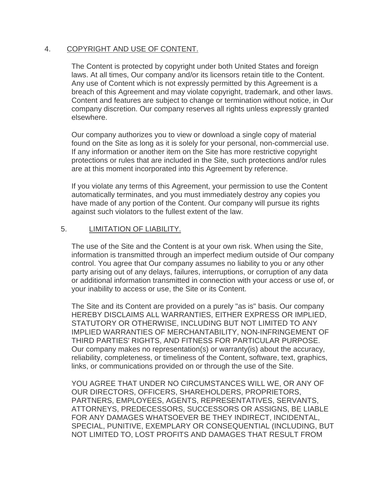#### 4. COPYRIGHT AND USE OF CONTENT.

The Content is protected by copyright under both United States and foreign laws. At all times, Our company and/or its licensors retain title to the Content. Any use of Content which is not expressly permitted by this Agreement is a breach of this Agreement and may violate copyright, trademark, and other laws. Content and features are subject to change or termination without notice, in Our company discretion. Our company reserves all rights unless expressly granted elsewhere.

Our company authorizes you to view or download a single copy of material found on the Site as long as it is solely for your personal, non-commercial use. If any information or another item on the Site has more restrictive copyright protections or rules that are included in the Site, such protections and/or rules are at this moment incorporated into this Agreement by reference.

If you violate any terms of this Agreement, your permission to use the Content automatically terminates, and you must immediately destroy any copies you have made of any portion of the Content. Our company will pursue its rights against such violators to the fullest extent of the law.

#### 5. LIMITATION OF LIABILITY.

The use of the Site and the Content is at your own risk. When using the Site, information is transmitted through an imperfect medium outside of Our company control. You agree that Our company assumes no liability to you or any other party arising out of any delays, failures, interruptions, or corruption of any data or additional information transmitted in connection with your access or use of, or your inability to access or use, the Site or its Content.

The Site and its Content are provided on a purely "as is" basis. Our company HEREBY DISCLAIMS ALL WARRANTIES, EITHER EXPRESS OR IMPLIED, STATUTORY OR OTHERWISE, INCLUDING BUT NOT LIMITED TO ANY IMPLIED WARRANTIES OF MERCHANTABILITY, NON-INFRINGEMENT OF THIRD PARTIES' RIGHTS, AND FITNESS FOR PARTICULAR PURPOSE. Our company makes no representation(s) or warranty(is) about the accuracy, reliability, completeness, or timeliness of the Content, software, text, graphics, links, or communications provided on or through the use of the Site.

YOU AGREE THAT UNDER NO CIRCUMSTANCES WILL WE, OR ANY OF OUR DIRECTORS, OFFICERS, SHAREHOLDERS, PROPRIETORS, PARTNERS, EMPLOYEES, AGENTS, REPRESENTATIVES, SERVANTS, ATTORNEYS, PREDECESSORS, SUCCESSORS OR ASSIGNS, BE LIABLE FOR ANY DAMAGES WHATSOEVER BE THEY INDIRECT, INCIDENTAL, SPECIAL, PUNITIVE, EXEMPLARY OR CONSEQUENTIAL (INCLUDING, BUT NOT LIMITED TO, LOST PROFITS AND DAMAGES THAT RESULT FROM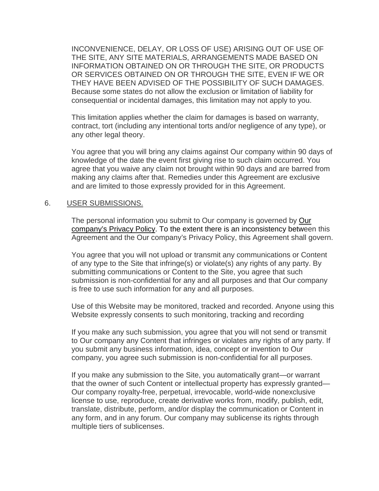INCONVENIENCE, DELAY, OR LOSS OF USE) ARISING OUT OF USE OF THE SITE, ANY SITE MATERIALS, ARRANGEMENTS MADE BASED ON INFORMATION OBTAINED ON OR THROUGH THE SITE, OR PRODUCTS OR SERVICES OBTAINED ON OR THROUGH THE SITE, EVEN IF WE OR THEY HAVE BEEN ADVISED OF THE POSSIBILITY OF SUCH DAMAGES. Because some states do not allow the exclusion or limitation of liability for consequential or incidental damages, this limitation may not apply to you.

This limitation applies whether the claim for damages is based on warranty, contract, tort (including any intentional torts and/or negligence of any type), or any other legal theory.

You agree that you will bring any claims against Our company within 90 days of knowledge of the date the event first giving rise to such claim occurred. You agree that you waive any claim not brought within 90 days and are barred from making any claims after that. Remedies under this Agreement are exclusive and are limited to those expressly provided for in this Agreement.

#### 6. USER SUBMISSIONS.

The personal information you submit to Our company is governed by Our company's Privacy Policy. To the extent there is an inconsistency between this Agreement and the Our company's Privacy Policy, this Agreement shall govern.

You agree that you will not upload or transmit any communications or Content of any type to the Site that infringe(s) or violate(s) any rights of any party. By submitting communications or Content to the Site, you agree that such submission is non-confidential for any and all purposes and that Our company is free to use such information for any and all purposes.

Use of this Website may be monitored, tracked and recorded. Anyone using this Website expressly consents to such monitoring, tracking and recording

If you make any such submission, you agree that you will not send or transmit to Our company any Content that infringes or violates any rights of any party. If you submit any business information, idea, concept or invention to Our company, you agree such submission is non-confidential for all purposes.

If you make any submission to the Site, you automatically grant—or warrant that the owner of such Content or intellectual property has expressly granted— Our company royalty-free, perpetual, irrevocable, world-wide nonexclusive license to use, reproduce, create derivative works from, modify, publish, edit, translate, distribute, perform, and/or display the communication or Content in any form, and in any forum. Our company may sublicense its rights through multiple tiers of sublicenses.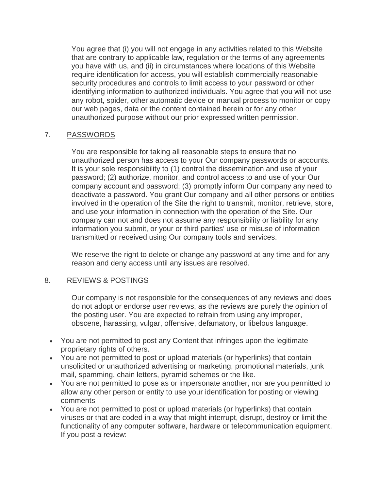You agree that (i) you will not engage in any activities related to this Website that are contrary to applicable law, regulation or the terms of any agreements you have with us, and (ii) in circumstances where locations of this Website require identification for access, you will establish commercially reasonable security procedures and controls to limit access to your password or other identifying information to authorized individuals. You agree that you will not use any robot, spider, other automatic device or manual process to monitor or copy our web pages, data or the content contained herein or for any other unauthorized purpose without our prior expressed written permission.

#### 7. PASSWORDS

You are responsible for taking all reasonable steps to ensure that no unauthorized person has access to your Our company passwords or accounts. It is your sole responsibility to (1) control the dissemination and use of your password; (2) authorize, monitor, and control access to and use of your Our company account and password; (3) promptly inform Our company any need to deactivate a password. You grant Our company and all other persons or entities involved in the operation of the Site the right to transmit, monitor, retrieve, store, and use your information in connection with the operation of the Site. Our company can not and does not assume any responsibility or liability for any information you submit, or your or third parties' use or misuse of information transmitted or received using Our company tools and services.

We reserve the right to delete or change any password at any time and for any reason and deny access until any issues are resolved.

#### 8. REVIEWS & POSTINGS

Our company is not responsible for the consequences of any reviews and does do not adopt or endorse user reviews, as the reviews are purely the opinion of the posting user. You are expected to refrain from using any improper, obscene, harassing, vulgar, offensive, defamatory, or libelous language.

- You are not permitted to post any Content that infringes upon the legitimate proprietary rights of others.
- You are not permitted to post or upload materials (or hyperlinks) that contain unsolicited or unauthorized advertising or marketing, promotional materials, junk mail, spamming, chain letters, pyramid schemes or the like.
- You are not permitted to pose as or impersonate another, nor are you permitted to allow any other person or entity to use your identification for posting or viewing comments
- You are not permitted to post or upload materials (or hyperlinks) that contain viruses or that are coded in a way that might interrupt, disrupt, destroy or limit the functionality of any computer software, hardware or telecommunication equipment. If you post a review: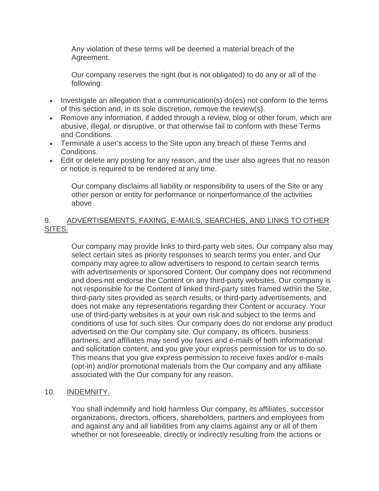Any violation of these terms will be deemed a material breach of the Agreement.

Our company reserves the right (but is not obligated) to do any or all of the following:

- Investigate an allegation that a communication(s) do(es) not conform to the terms of this section and, in its sole discretion, remove the review(s).
- Remove any information, if added through a review, blog or other forum, which are abusive, illegal, or disruptive, or that otherwise fail to conform with these Terms and Conditions.
- Terminate a user's access to the Site upon any breach of these Terms and Conditions.
- Edit or delete any posting for any reason, and the user also agrees that no reason or notice is required to be rendered at any time.

Our company disclaims all liability or responsibility to users of the Site or any other person or entity for performance or nonperformance of the activities above

#### 9. ADVERTISEMENTS, FAXING, E-MAILS, SEARCHES, AND LINKS TO OTHER SITES.

Our company may provide links to third-party web sites. Our company also may select certain sites as priority responses to search terms you enter, and Our company may agree to allow advertisers to respond to certain search terms with advertisements or sponsored Content. Our company does not recommend and does not endorse the Content on any third-party websites. Our company is not responsible for the Content of linked third-party sites framed within the Site, third-party sites provided as search results, or third-party advertisements, and does not make any representations regarding their Content or accuracy. Your use of third-party websites is at your own risk and subject to the terms and conditions of use for such sites. Our company does do not endorse any product advertised on the Our company site. Our company, its officers, business partners, and affiliates may send you faxes and e-mails of both informational and solicitation content, and you give your express permission for us to do so. This means that you give express permission to receive faxes and/or e-mails (opt-in) and/or promotional materials from the Our company and any affiliate associated with the Our company for any reason.

#### 10. INDEMNITY.

You shall indemnify and hold harmless Our company, its affiliates, successor organizations, directors, officers, shareholders, partners and employees from and against any and all liabilities from any claims against any or all of them whether or not foreseeable, directly or indirectly resulting from the actions or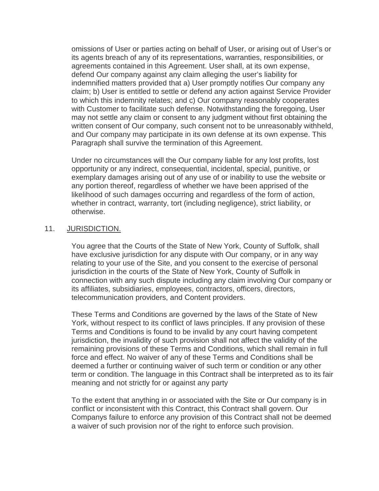omissions of User or parties acting on behalf of User, or arising out of User's or its agents breach of any of its representations, warranties, responsibilities, or agreements contained in this Agreement. User shall, at its own expense, defend Our company against any claim alleging the user's liability for indemnified matters provided that a) User promptly notifies Our company any claim; b) User is entitled to settle or defend any action against Service Provider to which this indemnity relates; and c) Our company reasonably cooperates with Customer to facilitate such defense. Notwithstanding the foregoing, User may not settle any claim or consent to any judgment without first obtaining the written consent of Our company, such consent not to be unreasonably withheld, and Our company may participate in its own defense at its own expense. This Paragraph shall survive the termination of this Agreement.

Under no circumstances will the Our company liable for any lost profits, lost opportunity or any indirect, consequential, incidental, special, punitive, or exemplary damages arising out of any use of or inability to use the website or any portion thereof, regardless of whether we have been apprised of the likelihood of such damages occurring and regardless of the form of action, whether in contract, warranty, tort (including negligence), strict liability, or otherwise.

#### 11. JURISDICTION.

You agree that the Courts of the State of New York, County of Suffolk, shall have exclusive jurisdiction for any dispute with Our company, or in any way relating to your use of the Site, and you consent to the exercise of personal jurisdiction in the courts of the State of New York, County of Suffolk in connection with any such dispute including any claim involving Our company or its affiliates, subsidiaries, employees, contractors, officers, directors, telecommunication providers, and Content providers.

These Terms and Conditions are governed by the laws of the State of New York, without respect to its conflict of laws principles. If any provision of these Terms and Conditions is found to be invalid by any court having competent jurisdiction, the invalidity of such provision shall not affect the validity of the remaining provisions of these Terms and Conditions, which shall remain in full force and effect. No waiver of any of these Terms and Conditions shall be deemed a further or continuing waiver of such term or condition or any other term or condition. The language in this Contract shall be interpreted as to its fair meaning and not strictly for or against any party

To the extent that anything in or associated with the Site or Our company is in conflict or inconsistent with this Contract, this Contract shall govern. Our Companys failure to enforce any provision of this Contract shall not be deemed a waiver of such provision nor of the right to enforce such provision.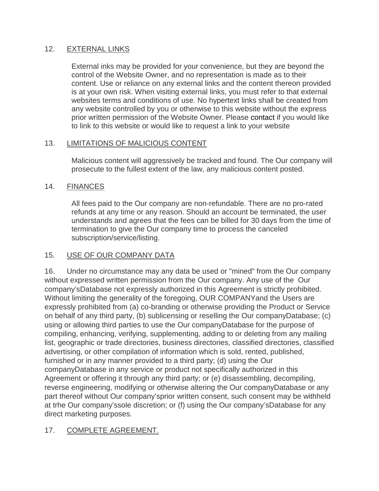#### 12. EXTERNAL LINKS

External inks may be provided for your convenience, but they are beyond the control of the Website Owner, and no representation is made as to their content. Use or reliance on any external links and the content thereon provided is at your own risk. When visiting external links, you must refer to that external websites terms and conditions of use. No hypertext links shall be created from any website controlled by you or otherwise to this website without the express prior written permission of the Website Owner. Please [contact i](http://www.tele-pro.co.uk/contact/contact.htm)f you would like to link to this website or would like to request a link to your website

#### 13. LIMITATIONS OF MALICIOUS CONTENT

Malicious content will aggressively be tracked and found. The Our company will prosecute to the fullest extent of the law, any malicious content posted.

#### 14. FINANCES

All fees paid to the Our company are non-refundable. There are no pro-rated refunds at any time or any reason. Should an account be terminated, the user understands and agrees that the fees can be billed for 30 days from the time of termination to give the Our company time to process the canceled subscription/service/listing.

#### 15. USE OF OUR COMPANY DATA

16. Under no circumstance may any data be used or "mined" from the Our company without expressed written permission from the Our company. Any use of the Our company'sDatabase not expressly authorized in this Agreement is strictly prohibited. Without limiting the generality of the foregoing, OUR COMPANYand the Users are expressly prohibited from (a) co-branding or otherwise providing the Product or Service on behalf of any third party, (b) sublicensing or reselling the Our companyDatabase; (c) using or allowing third parties to use the Our companyDatabase for the purpose of compiling, enhancing, verifying, supplementing, adding to or deleting from any mailing list, geographic or trade directories, business directories, classified directories, classified advertising, or other compilation of information which is sold, rented, published, furnished or in any manner provided to a third party; (d) using the Our companyDatabase in any service or product not specifically authorized in this Agreement or offering it through any third party; or (e) disassembling, decompiling, reverse engineering, modifying or otherwise altering the Our companyDatabase or any part thereof without Our company'sprior written consent, such consent may be withheld at trhe Our company'ssole discretion; or (f) using the Our company'sDatabase for any direct marketing purposes.

#### 17. COMPLETE AGREEMENT.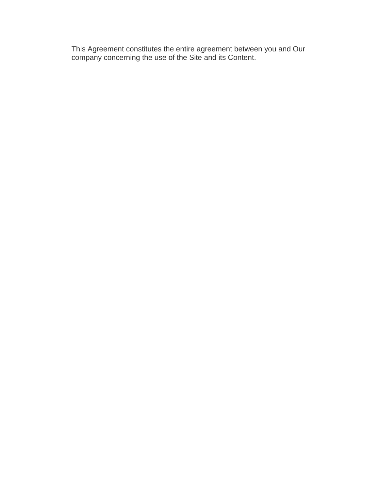This Agreement constitutes the entire agreement between you and Our company concerning the use of the Site and its Content.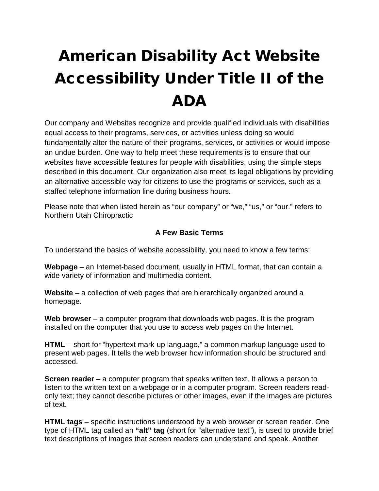# American Disability Act Website Accessibility Under Title II of the ADA

Our company and Websites recognize and provide qualified individuals with disabilities equal access to their programs, services, or activities unless doing so would fundamentally alter the nature of their programs, services, or activities or would impose an undue burden. One way to help meet these requirements is to ensure that our websites have accessible features for people with disabilities, using the simple steps described in this document. Our organization also meet its legal obligations by providing an alternative accessible way for citizens to use the programs or services, such as a staffed telephone information line during business hours.

Please note that when listed herein as "our company" or "we," "us," or "our." refers to Northern Utah Chiropractic

#### **A Few Basic Terms**

To understand the basics of website accessibility, you need to know a few terms:

**Webpage** – an Internet-based document, usually in HTML format, that can contain a wide variety of information and multimedia content.

**Website** – a collection of web pages that are hierarchically organized around a homepage.

**Web browser** – a computer program that downloads web pages. It is the program installed on the computer that you use to access web pages on the Internet.

**HTML** – short for "hypertext mark-up language," a common markup language used to present web pages. It tells the web browser how information should be structured and accessed.

**Screen reader** – a computer program that speaks written text. It allows a person to listen to the written text on a webpage or in a computer program. Screen readers readonly text; they cannot describe pictures or other images, even if the images are pictures of text.

**HTML tags** – specific instructions understood by a web browser or screen reader. One type of HTML tag called an **"alt" tag** (short for "alternative text"), is used to provide brief text descriptions of images that screen readers can understand and speak. Another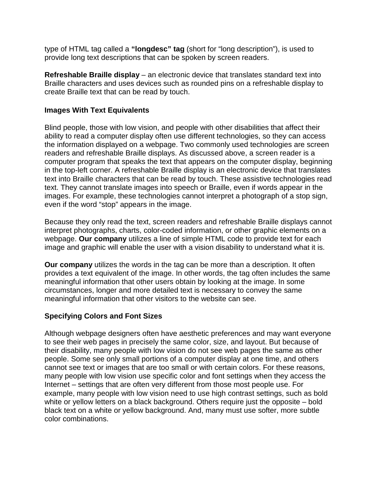type of HTML tag called a **"longdesc" tag** (short for "long description"), is used to provide long text descriptions that can be spoken by screen readers.

**Refreshable Braille display** – an electronic device that translates standard text into Braille characters and uses devices such as rounded pins on a refreshable display to create Braille text that can be read by touch.

#### **Images With Text Equivalents**

Blind people, those with low vision, and people with other disabilities that affect their ability to read a computer display often use different technologies, so they can access the information displayed on a webpage. Two commonly used technologies are screen readers and refreshable Braille displays. As discussed above, a screen reader is a computer program that speaks the text that appears on the computer display, beginning in the top-left corner. A refreshable Braille display is an electronic device that translates text into Braille characters that can be read by touch. These assistive technologies read text. They cannot translate images into speech or Braille, even if words appear in the images. For example, these technologies cannot interpret a photograph of a stop sign, even if the word "stop" appears in the image.

Because they only read the text, screen readers and refreshable Braille displays cannot interpret photographs, charts, color-coded information, or other graphic elements on a webpage. **Our company** utilizes a line of simple HTML code to provide text for each image and graphic will enable the user with a vision disability to understand what it is.

**Our company** utilizes the words in the tag can be more than a description. It often provides a text equivalent of the image. In other words, the tag often includes the same meaningful information that other users obtain by looking at the image. In some circumstances, longer and more detailed text is necessary to convey the same meaningful information that other visitors to the website can see.

#### **Specifying Colors and Font Sizes**

Although webpage designers often have aesthetic preferences and may want everyone to see their web pages in precisely the same color, size, and layout. But because of their disability, many people with low vision do not see web pages the same as other people. Some see only small portions of a computer display at one time, and others cannot see text or images that are too small or with certain colors. For these reasons, many people with low vision use specific color and font settings when they access the Internet – settings that are often very different from those most people use. For example, many people with low vision need to use high contrast settings, such as bold white or yellow letters on a black background. Others require just the opposite – bold black text on a white or yellow background. And, many must use softer, more subtle color combinations.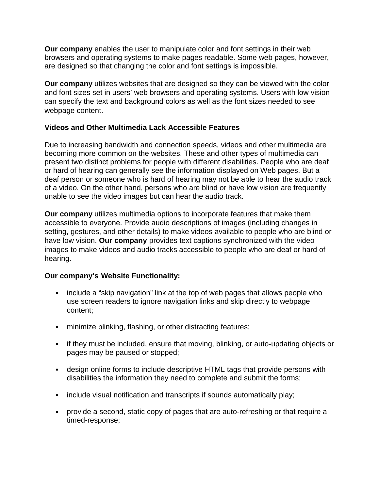**Our company** enables the user to manipulate color and font settings in their web browsers and operating systems to make pages readable. Some web pages, however, are designed so that changing the color and font settings is impossible.

**Our company** utilizes websites that are designed so they can be viewed with the color and font sizes set in users' web browsers and operating systems. Users with low vision can specify the text and background colors as well as the font sizes needed to see webpage content.

#### **Videos and Other Multimedia Lack Accessible Features**

Due to increasing bandwidth and connection speeds, videos and other multimedia are becoming more common on the websites. These and other types of multimedia can present two distinct problems for people with different disabilities. People who are deaf or hard of hearing can generally see the information displayed on Web pages. But a deaf person or someone who is hard of hearing may not be able to hear the audio track of a video. On the other hand, persons who are blind or have low vision are frequently unable to see the video images but can hear the audio track.

**Our company** utilizes multimedia options to incorporate features that make them accessible to everyone. Provide audio descriptions of images (including changes in setting, gestures, and other details) to make videos available to people who are blind or have low vision. **Our company** provides text captions synchronized with the video images to make videos and audio tracks accessible to people who are deaf or hard of hearing.

#### **Our company's Website Functionality:**

- include a "skip navigation" link at the top of web pages that allows people who use screen readers to ignore navigation links and skip directly to webpage content;
- minimize blinking, flashing, or other distracting features;
- if they must be included, ensure that moving, blinking, or auto-updating objects or pages may be paused or stopped;
- design online forms to include descriptive HTML tags that provide persons with disabilities the information they need to complete and submit the forms;
- include visual notification and transcripts if sounds automatically play;
- provide a second, static copy of pages that are auto-refreshing or that require a timed-response;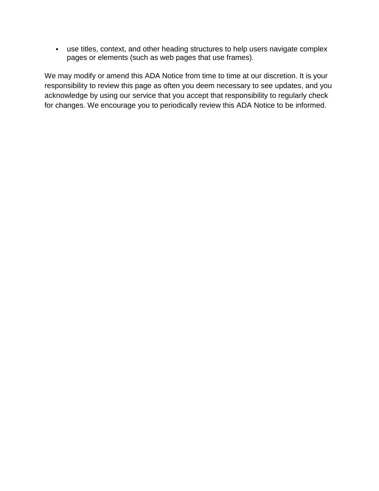use titles, context, and other heading structures to help users navigate complex pages or elements (such as web pages that use frames).

We may modify or amend this ADA Notice from time to time at our discretion. It is your responsibility to review this page as often you deem necessary to see updates, and you acknowledge by using our service that you accept that responsibility to regularly check for changes. We encourage you to periodically review this ADA Notice to be informed.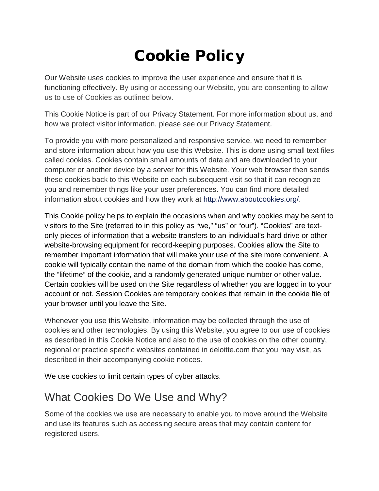## Cookie Policy

Our Website uses cookies to improve the user experience and ensure that it is functioning effectively. By using or accessing our Website, you are consenting to allow us to use of Cookies as outlined below.

This Cookie Notice is part of our Privacy Statement. For more information about us, and how we protect visitor information, please see our Privacy Statement.

To provide you with more personalized and responsive service, we need to remember and store information about how you use this Website. This is done using small text files called cookies. Cookies contain small amounts of data and are downloaded to your computer or another device by a server for this Website. Your web browser then sends these cookies back to this Website on each subsequent visit so that it can recognize you and remember things like your user preferences. You can find more detailed information about cookies and how they work at [http://www.aboutcookies.org/.](http://www.aboutcookies.org/)

This Cookie policy helps to explain the occasions when and why cookies may be sent to visitors to the Site (referred to in this policy as "we," "us" or "our"). "Cookies" are textonly pieces of information that a website transfers to an individual's hard drive or other website-browsing equipment for record-keeping purposes. Cookies allow the Site to remember important information that will make your use of the site more convenient. A cookie will typically contain the name of the domain from which the cookie has come, the "lifetime" of the cookie, and a randomly generated unique number or other value. Certain cookies will be used on the Site regardless of whether you are logged in to your account or not. Session Cookies are temporary cookies that remain in the cookie file of your browser until you leave the Site.

Whenever you use this Website, information may be collected through the use of cookies and other technologies. By using this Website, you agree to our use of cookies as described in this Cookie Notice and also to the use of cookies on the other country, regional or practice specific websites contained in deloitte.com that you may visit, as described in their accompanying cookie notices.

We use cookies to limit certain types of cyber attacks.

## What Cookies Do We Use and Why?

Some of the cookies we use are necessary to enable you to move around the Website and use its features such as accessing secure areas that may contain content for registered users.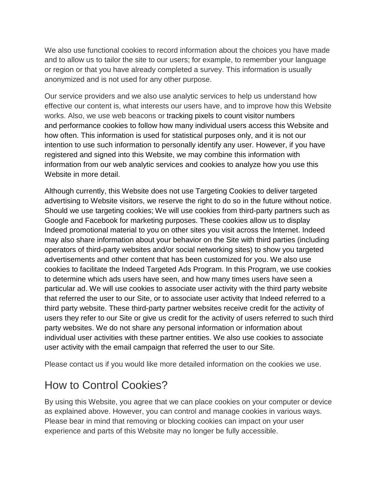We also use functional cookies to record information about the choices you have made and to allow us to tailor the site to our users; for example, to remember your language or region or that you have already completed a survey. This information is usually anonymized and is not used for any other purpose.

Our service providers and we also use analytic services to help us understand how effective our content is, what interests our users have, and to improve how this Website works. Also, we use web beacons or tracking pixels to count visitor numbers and performance cookies to follow how many individual users access this Website and how often. This information is used for statistical purposes only, and it is not our intention to use such information to personally identify any user. However, if you have registered and signed into this Website, we may combine this information with information from our web analytic services and cookies to analyze how you use this Website in more detail.

Although currently, this Website does not use Targeting Cookies to deliver targeted advertising to Website visitors, we reserve the right to do so in the future without notice. Should we use targeting cookies; We will use cookies from third-party partners such as Google and Facebook for marketing purposes. These cookies allow us to display Indeed promotional material to you on other sites you visit across the Internet. Indeed may also share information about your behavior on the Site with third parties (including operators of third-party websites and/or social networking sites) to show you targeted advertisements and other content that has been customized for you. We also use cookies to facilitate the Indeed Targeted Ads Program. In this Program, we use cookies to determine which ads users have seen, and how many times users have seen a particular ad. We will use cookies to associate user activity with the third party website that referred the user to our Site, or to associate user activity that Indeed referred to a third party website. These third-party partner websites receive credit for the activity of users they refer to our Site or give us credit for the activity of users referred to such third party websites. We do not share any personal information or information about individual user activities with these partner entities. We also use cookies to associate user activity with the email campaign that referred the user to our Site.

Please contact us if you would like more detailed information on the cookies we use.

## How to Control Cookies?

By using this Website, you agree that we can place cookies on your computer or device as explained above. However, you can control and manage cookies in various ways. Please bear in mind that removing or blocking cookies can impact on your user experience and parts of this Website may no longer be fully accessible.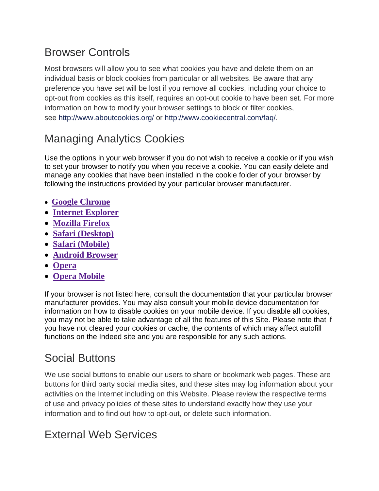## Browser Controls

Most browsers will allow you to see what cookies you have and delete them on an individual basis or block cookies from particular or all websites. Be aware that any preference you have set will be lost if you remove all cookies, including your choice to opt-out from cookies as this itself, requires an opt-out cookie to have been set. For more information on how to modify your browser settings to block or filter cookies, see <http://www.aboutcookies.org/> or [http://www.cookiecentral.com/faq/.](http://www.cookiecentral.com/faq/)

## Managing Analytics Cookies

Use the options in your web browser if you do not wish to receive a cookie or if you wish to set your browser to notify you when you receive a cookie. You can easily delete and manage any cookies that have been installed in the cookie folder of your browser by following the instructions provided by your particular browser manufacturer.

- **[Google Chrome](https://support.google.com/chrome/answer/95647?hl=en-GB)**
- **[Internet Explorer](https://support.microsoft.com/en-us/kb/260971)**
- **[Mozilla Firefox](https://support.mozilla.org/en-US/kb/cookies-information-websites-store-on-your-computer)**
- **[Safari \(Desktop\)](https://support.apple.com/kb/ph21411?locale=en_US)**
- **[Safari \(Mobile\)](https://support.apple.com/en-us/HT201265)**
- **[Android Browser](http://support.google.com/ics/nexus/bin/answer.py?hl=en&answer=2425067)**
- **[Opera](http://www.opera.com/help)**
- **[Opera Mobile](https://www.opera.com/help/tutorials/security/privacy/)**

If your browser is not listed here, consult the documentation that your particular browser manufacturer provides. You may also consult your mobile device documentation for information on how to disable cookies on your mobile device. If you disable all cookies, you may not be able to take advantage of all the features of this Site. Please note that if you have not cleared your cookies or cache, the contents of which may affect autofill functions on the Indeed site and you are responsible for any such actions.

## Social Buttons

We use social buttons to enable our users to share or bookmark web pages. These are buttons for third party social media sites, and these sites may log information about your activities on the Internet including on this Website. Please review the respective terms of use and privacy policies of these sites to understand exactly how they use your information and to find out how to opt-out, or delete such information.

## External Web Services